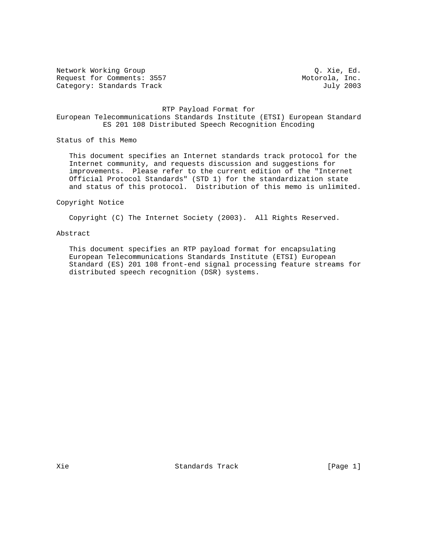Network Working Group  $Q.$  Xie, Ed. Request for Comments: 3557 Motorola, Inc. Category: Standards Track Gategory: Standards Track July 2003

## RTP Payload Format for European Telecommunications Standards Institute (ETSI) European Standard ES 201 108 Distributed Speech Recognition Encoding

Status of this Memo

 This document specifies an Internet standards track protocol for the Internet community, and requests discussion and suggestions for improvements. Please refer to the current edition of the "Internet Official Protocol Standards" (STD 1) for the standardization state and status of this protocol. Distribution of this memo is unlimited.

Copyright Notice

Copyright (C) The Internet Society (2003). All Rights Reserved.

## Abstract

 This document specifies an RTP payload format for encapsulating European Telecommunications Standards Institute (ETSI) European Standard (ES) 201 108 front-end signal processing feature streams for distributed speech recognition (DSR) systems.

Xie Standards Track (Page 1)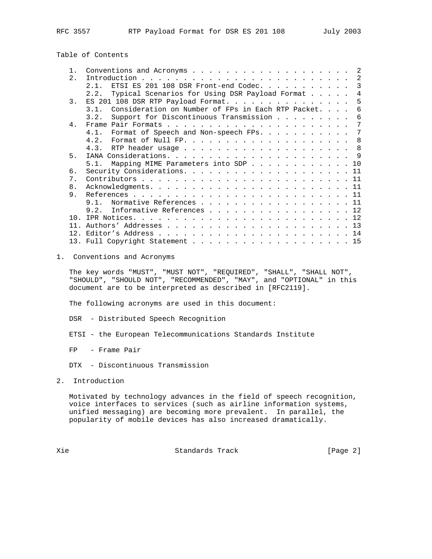# Table of Contents

| $1$ .           | 2                                                             |
|-----------------|---------------------------------------------------------------|
| 2.              | 2                                                             |
|                 | ETSI ES 201 108 DSR Front-end Codec.<br>3<br>2.1.             |
|                 | Typical Scenarios for Using DSR Payload Format<br>4<br>2.2.   |
| $\mathcal{R}$   | .5                                                            |
|                 | Consideration on Number of FPs in Each RTP Packet.<br>31<br>6 |
|                 | Support for Discontinuous Transmission<br>3.2.<br>6           |
| 4.              | 7                                                             |
|                 | 4.1. Format of Speech and Non-speech FPs.<br>7                |
|                 | 4.2.<br>Format of Null FP. $\ldots$ 8                         |
|                 |                                                               |
| 5.              |                                                               |
|                 | 5.1. Mapping MIME Parameters into SDP 10                      |
| 6.              |                                                               |
| $7$ .           |                                                               |
| 8.              |                                                               |
| 9.              |                                                               |
|                 | Normative References 11<br>9 1                                |
|                 | Informative References 12<br>9.2.                             |
| 1 N             |                                                               |
| 11              |                                                               |
| 12 <sup>2</sup> |                                                               |
|                 | 13. Full Copyright Statement 15                               |

## 1. Conventions and Acronyms

 The key words "MUST", "MUST NOT", "REQUIRED", "SHALL", "SHALL NOT", "SHOULD", "SHOULD NOT", "RECOMMENDED", "MAY", and "OPTIONAL" in this document are to be interpreted as described in [RFC2119].

The following acronyms are used in this document:

- DSR Distributed Speech Recognition
- ETSI the European Telecommunications Standards Institute

FP - Frame Pair

- DTX Discontinuous Transmission
- 2. Introduction

 Motivated by technology advances in the field of speech recognition, voice interfaces to services (such as airline information systems, unified messaging) are becoming more prevalent. In parallel, the popularity of mobile devices has also increased dramatically.

Xie  $S$ tandards Track (Page 2)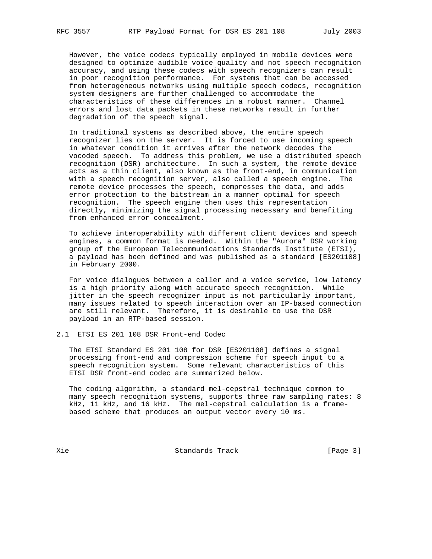However, the voice codecs typically employed in mobile devices were designed to optimize audible voice quality and not speech recognition accuracy, and using these codecs with speech recognizers can result in poor recognition performance. For systems that can be accessed from heterogeneous networks using multiple speech codecs, recognition system designers are further challenged to accommodate the characteristics of these differences in a robust manner. Channel errors and lost data packets in these networks result in further degradation of the speech signal.

 In traditional systems as described above, the entire speech recognizer lies on the server. It is forced to use incoming speech in whatever condition it arrives after the network decodes the vocoded speech. To address this problem, we use a distributed speech recognition (DSR) architecture. In such a system, the remote device acts as a thin client, also known as the front-end, in communication with a speech recognition server, also called a speech engine. The remote device processes the speech, compresses the data, and adds error protection to the bitstream in a manner optimal for speech recognition. The speech engine then uses this representation directly, minimizing the signal processing necessary and benefiting from enhanced error concealment.

 To achieve interoperability with different client devices and speech engines, a common format is needed. Within the "Aurora" DSR working group of the European Telecommunications Standards Institute (ETSI), a payload has been defined and was published as a standard [ES201108] in February 2000.

 For voice dialogues between a caller and a voice service, low latency is a high priority along with accurate speech recognition. While jitter in the speech recognizer input is not particularly important, many issues related to speech interaction over an IP-based connection are still relevant. Therefore, it is desirable to use the DSR payload in an RTP-based session.

2.1 ETSI ES 201 108 DSR Front-end Codec

 The ETSI Standard ES 201 108 for DSR [ES201108] defines a signal processing front-end and compression scheme for speech input to a speech recognition system. Some relevant characteristics of this ETSI DSR front-end codec are summarized below.

 The coding algorithm, a standard mel-cepstral technique common to many speech recognition systems, supports three raw sampling rates: 8 kHz, 11 kHz, and 16 kHz. The mel-cepstral calculation is a frame based scheme that produces an output vector every 10 ms.

Xie Standards Track [Page 3]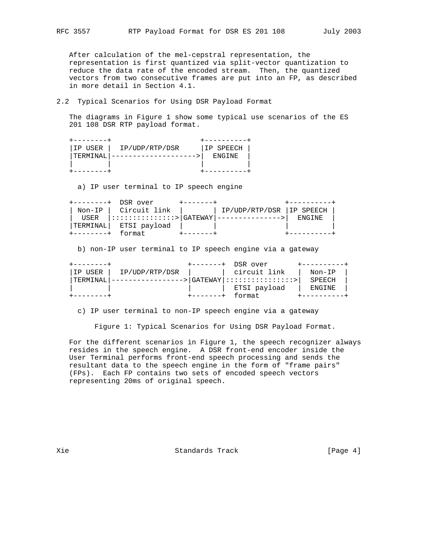After calculation of the mel-cepstral representation, the representation is first quantized via split-vector quantization to reduce the data rate of the encoded stream. Then, the quantized vectors from two consecutive frames are put into an FP, as described in more detail in Section 4.1.

## 2.2 Typical Scenarios for Using DSR Payload Format

 The diagrams in Figure 1 show some typical use scenarios of the ES 201 108 DSR RTP payload format.

| 'IP USER | IP/UDP/RTP/DSR | IIP SPEECH |  |
|----------|----------------|------------|--|
| TERMINA  |                | F.NGTNF.   |  |
|          |                |            |  |
|          |                |            |  |

a) IP user terminal to IP speech engine

| $+ - - - - - - - +$ | DSR over                       |                          |         |  |
|---------------------|--------------------------------|--------------------------|---------|--|
|                     | Non-IP   Circuit link          | IP/UDP/RTP/DSR IP SPEECH |         |  |
| USER                | $ ::::::::::::::::*> GATEWAY $ | ---------------          | F.NGTNF |  |
| TERMINAL            | ETSI payload                   |                          |         |  |
|                     | format                         |                          |         |  |

b) non-IP user terminal to IP speech engine via a gateway

|          |                | DSR over                    |        |
|----------|----------------|-----------------------------|--------|
| IP USER  | IP/UDP/RTP/DSR | circuit link                | Non-IP |
| TERMINAI |                | > GATEWAY ::::::::::::::::: | SPEECH |
|          |                | ETSI payload                | ENGINE |
|          |                | format                      |        |

c) IP user terminal to non-IP speech engine via a gateway

Figure 1: Typical Scenarios for Using DSR Payload Format.

 For the different scenarios in Figure 1, the speech recognizer always resides in the speech engine. A DSR front-end encoder inside the User Terminal performs front-end speech processing and sends the resultant data to the speech engine in the form of "frame pairs" (FPs). Each FP contains two sets of encoded speech vectors representing 20ms of original speech.

Xie  $S$ tandards Track [Page 4]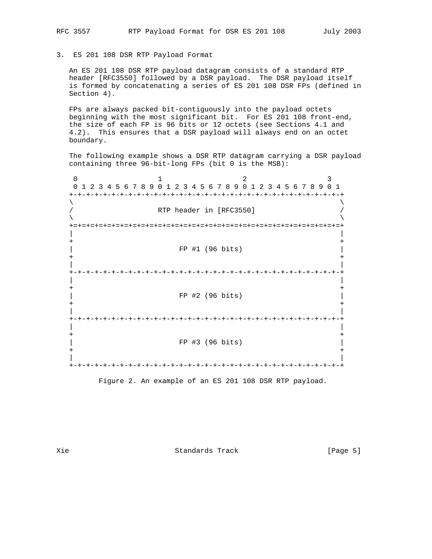3. ES 201 108 DSR RTP Payload Format

 An ES 201 108 DSR RTP payload datagram consists of a standard RTP header [RFC3550] followed by a DSR payload. The DSR payload itself is formed by concatenating a series of ES 201 108 DSR FPs (defined in Section 4).

 FPs are always packed bit-contiguously into the payload octets beginning with the most significant bit. For ES 201 108 front-end, the size of each FP is 96 bits or 12 octets (see Sections 4.1 and 4.2). This ensures that a DSR payload will always end on an octet boundary.

 The following example shows a DSR RTP datagram carrying a DSR payload containing three 96-bit-long FPs (bit 0 is the MSB):

0  $1$  2 3 0 1 2 3 4 5 6 7 8 9 0 1 2 3 4 5 6 7 8 9 0 1 2 3 4 5 6 7 8 9 0 1 +-+-+-+-+-+-+-+-+-+-+-+-+-+-+-+-+-+-+-+-+-+-+-+-+-+-+-+-+-+-+-+-+  $\lambda$  and  $\lambda$  and  $\lambda$  and  $\lambda$  and  $\lambda$  and  $\lambda$  and  $\lambda$  and  $\lambda$  and  $\lambda$  and  $\lambda$  and  $\lambda$  and  $\lambda$  and  $\lambda$  and  $\lambda$  and  $\lambda$  and  $\lambda$  and  $\lambda$  and  $\lambda$  and  $\lambda$  and  $\lambda$  and  $\lambda$  and  $\lambda$  and  $\lambda$  and  $\lambda$  and  $\lambda$  / RTP header in [RFC3550] /  $\lambda$  and  $\lambda$  and  $\lambda$  and  $\lambda$  and  $\lambda$  and  $\lambda$  and  $\lambda$  and  $\lambda$  and  $\lambda$  and  $\lambda$  and  $\lambda$  and  $\lambda$  and  $\lambda$  and  $\lambda$  and  $\lambda$  and  $\lambda$  and  $\lambda$  and  $\lambda$  and  $\lambda$  and  $\lambda$  and  $\lambda$  and  $\lambda$  and  $\lambda$  and  $\lambda$  and  $\lambda$  +=+=+=+=+=+=+=+=+=+=+=+=+=+=+=+=+=+=+=+=+=+=+=+=+=+=+=+=+=+=+=+=+ | | + + | FP #1 (96 bits) | + + | | +-+-+-+-+-+-+-+-+-+-+-+-+-+-+-+-+-+-+-+-+-+-+-+-+-+-+-+-+-+-+-+-+ | | + + | FP #2 (96 bits) | + + | | +-+-+-+-+-+-+-+-+-+-+-+-+-+-+-+-+-+-+-+-+-+-+-+-+-+-+-+-+-+-+-+-+ | | + + | FP #3 (96 bits) | + + | | +-+-+-+-+-+-+-+-+-+-+-+-+-+-+-+-+-+-+-+-+-+-+-+-+-+-+-+-+-+-+-+-+

Figure 2. An example of an ES 201 108 DSR RTP payload.

Xie Standards Track (Page 5)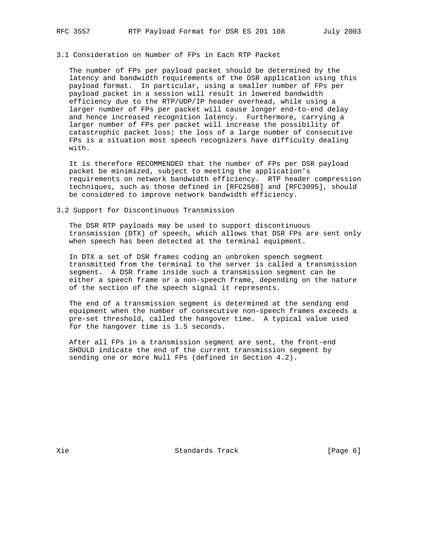# 3.1 Consideration on Number of FPs in Each RTP Packet

 The number of FPs per payload packet should be determined by the latency and bandwidth requirements of the DSR application using this payload format. In particular, using a smaller number of FPs per payload packet in a session will result in lowered bandwidth efficiency due to the RTP/UDP/IP header overhead, while using a larger number of FPs per packet will cause longer end-to-end delay and hence increased recognition latency. Furthermore, carrying a larger number of FPs per packet will increase the possibility of catastrophic packet loss; the loss of a large number of consecutive FPs is a situation most speech recognizers have difficulty dealing with.

 It is therefore RECOMMENDED that the number of FPs per DSR payload packet be minimized, subject to meeting the application's requirements on network bandwidth efficiency. RTP header compression techniques, such as those defined in [RFC2508] and [RFC3095], should be considered to improve network bandwidth efficiency.

3.2 Support for Discontinuous Transmission

 The DSR RTP payloads may be used to support discontinuous transmission (DTX) of speech, which allows that DSR FPs are sent only when speech has been detected at the terminal equipment.

 In DTX a set of DSR frames coding an unbroken speech segment transmitted from the terminal to the server is called a transmission segment. A DSR frame inside such a transmission segment can be either a speech frame or a non-speech frame, depending on the nature of the section of the speech signal it represents.

 The end of a transmission segment is determined at the sending end equipment when the number of consecutive non-speech frames exceeds a pre-set threshold, called the hangover time. A typical value used for the hangover time is 1.5 seconds.

 After all FPs in a transmission segment are sent, the front-end SHOULD indicate the end of the current transmission segment by sending one or more Null FPs (defined in Section 4.2).

Xie  $S$  Standards Track (Page 6)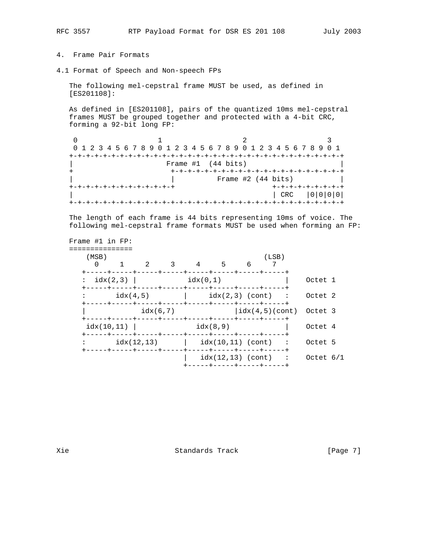- 4. Frame Pair Formats
- 4.1 Format of Speech and Non-speech FPs

 The following mel-cepstral frame MUST be used, as defined in [ES201108]:

 As defined in [ES201108], pairs of the quantized 10ms mel-cepstral frames MUST be grouped together and protected with a 4-bit CRC, forming a 92-bit long FP:

| 0 1 2 3 4 5 6 7 8 9 0 1 2 3 4 5 6 7 8 9 0 1 2 3 4 5 6 7 8 9 0 1 |                      |                           |
|-----------------------------------------------------------------|----------------------|---------------------------|
|                                                                 |                      |                           |
|                                                                 | Frame $#1$ (44 bits) |                           |
|                                                                 | -+-+-+-+-+-+-+-+-+-  |                           |
|                                                                 | Frame #2 (44 bits)   |                           |
| --+-+-+-+-+-+-+-+-+-+                                           |                      | $+ - + - + - + - + - + -$ |
|                                                                 |                      | CRC                       |
|                                                                 |                      |                           |

 The length of each frame is 44 bits representing 10ms of voice. The following mel-cepstral frame formats MUST be used when forming an FP:

| (MSB)<br>$\Omega$  |  | 1 2 3 4 5                          |          | 6 | (LSB)                    |                                                  |  |
|--------------------|--|------------------------------------|----------|---|--------------------------|--------------------------------------------------|--|
| $:\text{idx}(2,3)$ |  | idx(0.1)                           |          |   |                          | Octet 1                                          |  |
|                    |  |                                    |          |   |                          | $idx(4,5)$ $idx(2,3)$ (cont) : Octet 2           |  |
|                    |  | idx(6,7)                           |          |   |                          | $\lfloor \text{idx}(4,5) \rfloor$ (cont) Octet 3 |  |
| $idx(10,11)$       |  |                                    | idx(8,9) |   |                          | Octet 4                                          |  |
|                    |  | $idx(12,13)$ $idx(10,11)$ (cont) : |          |   |                          | Octet 5                                          |  |
|                    |  |                                    |          |   | -----+-----+-----+-----+ | $idx(12,13)$ (cont) : Octet $6/1$                |  |

Xie  $S$ tandards Track [Page 7]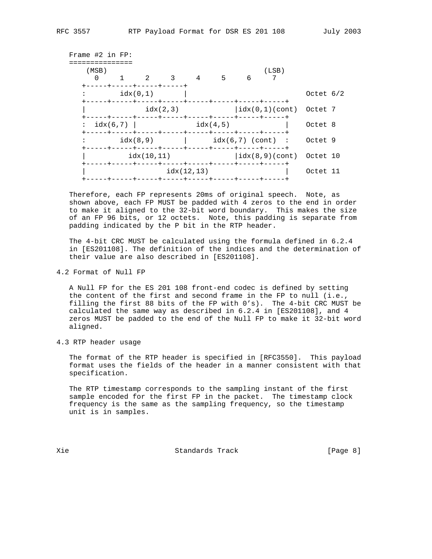| Frame $#2$ in FP: |              |            |                          |                                     |          |   |       |                                                            |  |
|-------------------|--------------|------------|--------------------------|-------------------------------------|----------|---|-------|------------------------------------------------------------|--|
| (MSB)<br>$\Omega$ |              |            | +-----+----+-----+-----+ | $1 \quad 2 \quad 3 \quad 4 \quad 5$ |          | 6 | (LSB) |                                                            |  |
|                   |              | idx(0,1)   |                          |                                     |          |   |       | Octet $6/2$                                                |  |
|                   |              |            |                          | idx(2,3)                            |          |   |       | $\vert \text{idx}(0,1)$ (cont) Octet 7                     |  |
|                   | : $idx(6,7)$ |            |                          |                                     | idx(4,5) |   |       | Octet 8                                                    |  |
|                   |              | idx(8.9)   |                          |                                     |          |   |       | $idx(6,7)$ (cont) : Octet 9                                |  |
|                   |              | idx(10.11) |                          |                                     |          |   |       | $\lceil \texttt{idx}(8,9) (\texttt{cont}) \rceil$ Octet 10 |  |
|                   |              |            |                          | idx(12.13)                          |          |   |       | Octet 11                                                   |  |
|                   |              |            |                          |                                     |          |   |       |                                                            |  |

 Therefore, each FP represents 20ms of original speech. Note, as shown above, each FP MUST be padded with 4 zeros to the end in order to make it aligned to the 32-bit word boundary. This makes the size of an FP 96 bits, or 12 octets. Note, this padding is separate from padding indicated by the P bit in the RTP header.

 The 4-bit CRC MUST be calculated using the formula defined in 6.2.4 in [ES201108]. The definition of the indices and the determination of their value are also described in [ES201108].

4.2 Format of Null FP

 A Null FP for the ES 201 108 front-end codec is defined by setting the content of the first and second frame in the FP to null (i.e., filling the first 88 bits of the FP with 0's). The 4-bit CRC MUST be calculated the same way as described in 6.2.4 in [ES201108], and 4 zeros MUST be padded to the end of the Null FP to make it 32-bit word aligned.

4.3 RTP header usage

 The format of the RTP header is specified in [RFC3550]. This payload format uses the fields of the header in a manner consistent with that specification.

 The RTP timestamp corresponds to the sampling instant of the first sample encoded for the first FP in the packet. The timestamp clock frequency is the same as the sampling frequency, so the timestamp unit is in samples.

Xie  $S$  Standards Track [Page 8]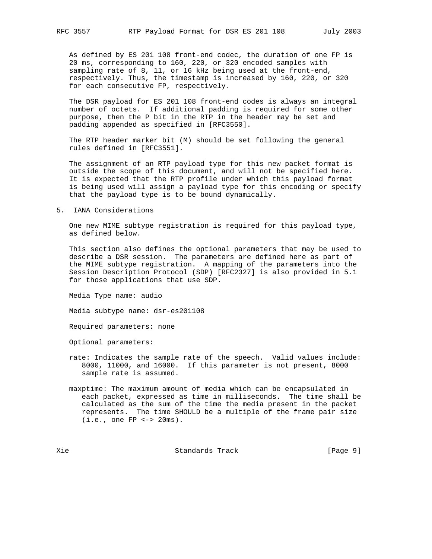As defined by ES 201 108 front-end codec, the duration of one FP is 20 ms, corresponding to 160, 220, or 320 encoded samples with sampling rate of 8, 11, or 16 kHz being used at the front-end, respectively. Thus, the timestamp is increased by 160, 220, or 320 for each consecutive FP, respectively.

 The DSR payload for ES 201 108 front-end codes is always an integral number of octets. If additional padding is required for some other purpose, then the P bit in the RTP in the header may be set and padding appended as specified in [RFC3550].

 The RTP header marker bit (M) should be set following the general rules defined in [RFC3551].

 The assignment of an RTP payload type for this new packet format is outside the scope of this document, and will not be specified here. It is expected that the RTP profile under which this payload format is being used will assign a payload type for this encoding or specify that the payload type is to be bound dynamically.

### 5. IANA Considerations

 One new MIME subtype registration is required for this payload type, as defined below.

 This section also defines the optional parameters that may be used to describe a DSR session. The parameters are defined here as part of the MIME subtype registration. A mapping of the parameters into the Session Description Protocol (SDP) [RFC2327] is also provided in 5.1 for those applications that use SDP.

Media Type name: audio

Media subtype name: dsr-es201108

Required parameters: none

Optional parameters:

- rate: Indicates the sample rate of the speech. Valid values include: 8000, 11000, and 16000. If this parameter is not present, 8000 sample rate is assumed.
- maxptime: The maximum amount of media which can be encapsulated in each packet, expressed as time in milliseconds. The time shall be calculated as the sum of the time the media present in the packet represents. The time SHOULD be a multiple of the frame pair size (i.e., one FP <-> 20ms).

Xie Standards Track [Page 9]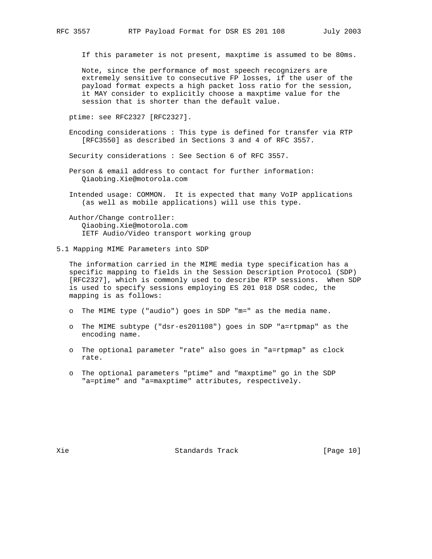If this parameter is not present, maxptime is assumed to be 80ms.

 Note, since the performance of most speech recognizers are extremely sensitive to consecutive FP losses, if the user of the payload format expects a high packet loss ratio for the session, it MAY consider to explicitly choose a maxptime value for the session that is shorter than the default value.

ptime: see RFC2327 [RFC2327].

 Encoding considerations : This type is defined for transfer via RTP [RFC3550] as described in Sections 3 and 4 of RFC 3557.

Security considerations : See Section 6 of RFC 3557.

- Person & email address to contact for further information: Qiaobing.Xie@motorola.com
- Intended usage: COMMON. It is expected that many VoIP applications (as well as mobile applications) will use this type.

 Author/Change controller: Qiaobing.Xie@motorola.com IETF Audio/Video transport working group

5.1 Mapping MIME Parameters into SDP

 The information carried in the MIME media type specification has a specific mapping to fields in the Session Description Protocol (SDP) [RFC2327], which is commonly used to describe RTP sessions. When SDP is used to specify sessions employing ES 201 018 DSR codec, the mapping is as follows:

- o The MIME type ("audio") goes in SDP "m=" as the media name.
- o The MIME subtype ("dsr-es201108") goes in SDP "a=rtpmap" as the encoding name.
- o The optional parameter "rate" also goes in "a=rtpmap" as clock rate.
- o The optional parameters "ptime" and "maxptime" go in the SDP "a=ptime" and "a=maxptime" attributes, respectively.

Xie  $S$ tandards Track [Page 10]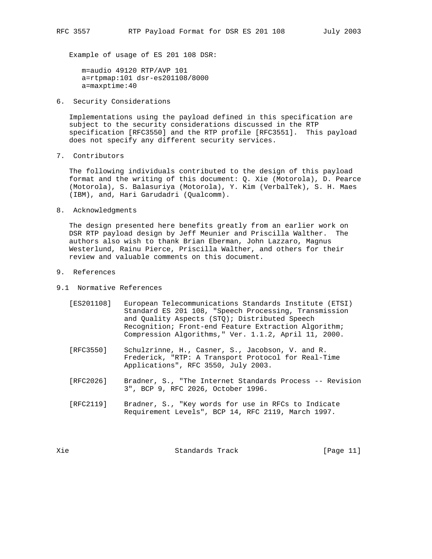Example of usage of ES 201 108 DSR:

 m=audio 49120 RTP/AVP 101 a=rtpmap:101 dsr-es201108/8000 a=maxptime:40

6. Security Considerations

 Implementations using the payload defined in this specification are subject to the security considerations discussed in the RTP specification [RFC3550] and the RTP profile [RFC3551]. This payload does not specify any different security services.

7. Contributors

 The following individuals contributed to the design of this payload format and the writing of this document: Q. Xie (Motorola), D. Pearce (Motorola), S. Balasuriya (Motorola), Y. Kim (VerbalTek), S. H. Maes (IBM), and, Hari Garudadri (Qualcomm).

8. Acknowledgments

 The design presented here benefits greatly from an earlier work on DSR RTP payload design by Jeff Meunier and Priscilla Walther. The authors also wish to thank Brian Eberman, John Lazzaro, Magnus Westerlund, Rainu Pierce, Priscilla Walther, and others for their review and valuable comments on this document.

- 9. References
- 9.1 Normative References
	- [ES201108] European Telecommunications Standards Institute (ETSI) Standard ES 201 108, "Speech Processing, Transmission and Quality Aspects (STQ); Distributed Speech Recognition; Front-end Feature Extraction Algorithm; Compression Algorithms," Ver. 1.1.2, April 11, 2000.
	- [RFC3550] Schulzrinne, H., Casner, S., Jacobson, V. and R. Frederick, "RTP: A Transport Protocol for Real-Time Applications", RFC 3550, July 2003.
	- [RFC2026] Bradner, S., "The Internet Standards Process -- Revision 3", BCP 9, RFC 2026, October 1996.
	- [RFC2119] Bradner, S., "Key words for use in RFCs to Indicate Requirement Levels", BCP 14, RFC 2119, March 1997.

Xie Champion Standards Track (Page 11)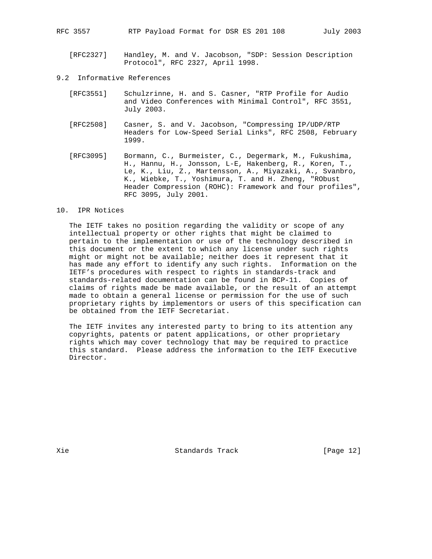RFC 3557 RTP Payload Format for DSR ES 201 108 July 2003

- [RFC2327] Handley, M. and V. Jacobson, "SDP: Session Description Protocol", RFC 2327, April 1998.
- 9.2 Informative References
	- [RFC3551] Schulzrinne, H. and S. Casner, "RTP Profile for Audio and Video Conferences with Minimal Control", RFC 3551, July 2003.
	- [RFC2508] Casner, S. and V. Jacobson, "Compressing IP/UDP/RTP Headers for Low-Speed Serial Links", RFC 2508, February 1999.
	- [RFC3095] Bormann, C., Burmeister, C., Degermark, M., Fukushima, H., Hannu, H., Jonsson, L-E, Hakenberg, R., Koren, T., Le, K., Liu, Z., Martensson, A., Miyazaki, A., Svanbro, K., Wiebke, T., Yoshimura, T. and H. Zheng, "RObust Header Compression (ROHC): Framework and four profiles", RFC 3095, July 2001.

### 10. IPR Notices

 The IETF takes no position regarding the validity or scope of any intellectual property or other rights that might be claimed to pertain to the implementation or use of the technology described in this document or the extent to which any license under such rights might or might not be available; neither does it represent that it has made any effort to identify any such rights. Information on the IETF's procedures with respect to rights in standards-track and standards-related documentation can be found in BCP-11. Copies of claims of rights made be made available, or the result of an attempt made to obtain a general license or permission for the use of such proprietary rights by implementors or users of this specification can be obtained from the IETF Secretariat.

 The IETF invites any interested party to bring to its attention any copyrights, patents or patent applications, or other proprietary rights which may cover technology that may be required to practice this standard. Please address the information to the IETF Executive Director.

Xie Standards Track [Page 12]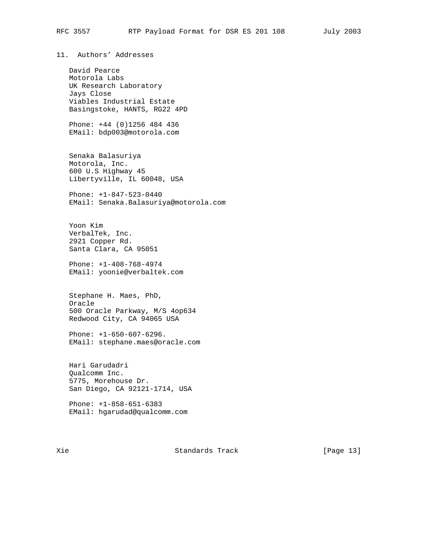11. Authors' Addresses

 David Pearce Motorola Labs UK Research Laboratory Jays Close Viables Industrial Estate Basingstoke, HANTS, RG22 4PD

 Phone: +44 (0)1256 484 436 EMail: bdp003@motorola.com

 Senaka Balasuriya Motorola, Inc. 600 U.S Highway 45 Libertyville, IL 60048, USA

 Phone: +1-847-523-0440 EMail: Senaka.Balasuriya@motorola.com

 Yoon Kim VerbalTek, Inc. 2921 Copper Rd. Santa Clara, CA 95051

 Phone: +1-408-768-4974 EMail: yoonie@verbaltek.com

 Stephane H. Maes, PhD, Oracle 500 Oracle Parkway, M/S 4op634 Redwood City, CA 94065 USA

 Phone: +1-650-607-6296. EMail: stephane.maes@oracle.com

 Hari Garudadri Qualcomm Inc. 5775, Morehouse Dr. San Diego, CA 92121-1714, USA

 Phone: +1-858-651-6383 EMail: hgarudad@qualcomm.com

Xie  $S$  Standards Track [Page 13]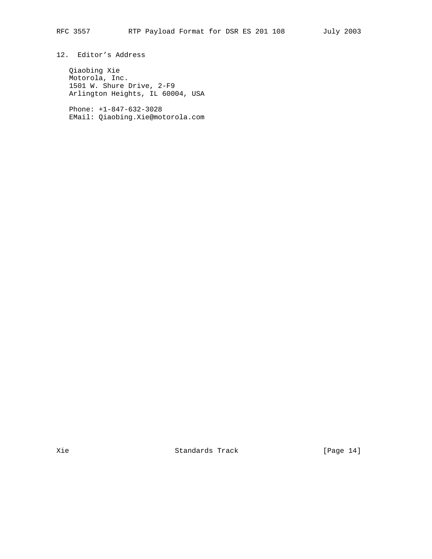12. Editor's Address

 Qiaobing Xie Motorola, Inc. 1501 W. Shure Drive, 2-F9 Arlington Heights, IL 60004, USA

 Phone: +1-847-632-3028 EMail: Qiaobing.Xie@motorola.com

Xie Standards Track [Page 14]